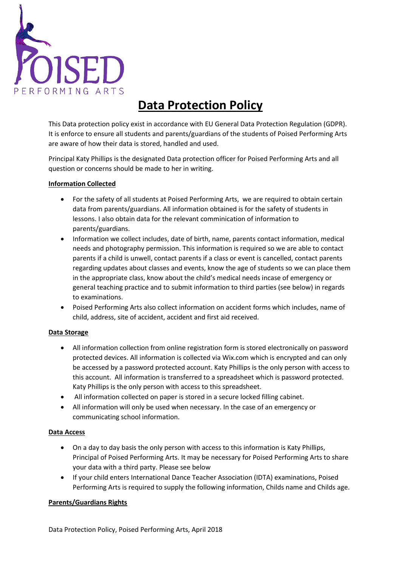

# **Data Protection Policy**

This Data protection policy exist in accordance with EU General Data Protection Regulation (GDPR). It is enforce to ensure all students and parents/guardians of the students of Poised Performing Arts are aware of how their data is stored, handled and used.

Principal Katy Phillips is the designated Data protection officer for Poised Performing Arts and all question or concerns should be made to her in writing.

#### **Information Collected**

- For the safety of all students at Poised Performing Arts, we are required to obtain certain data from parents/guardians. All information obtained is for the safety of students in lessons. I also obtain data for the relevant comminication of information to parents/guardians.
- Information we collect includes, date of birth, name, parents contact information, medical needs and photography permission. This information is required so we are able to contact parents if a child is unwell, contact parents if a class or event is cancelled, contact parents regarding updates about classes and events, know the age of students so we can place them in the appropriate class, know about the child's medical needs incase of emergency or general teaching practice and to submit information to third parties (see below) in regards to examinations.
- Poised Performing Arts also collect information on accident forms which includes, name of child, address, site of accident, accident and first aid received.

### **Data Storage**

- All information collection from online registration form is stored electronically on password protected devices. All information is collected via Wix.com which is encrypted and can only be accessed by a password protected account. Katy Phillips is the only person with access to this account. All information is transferred to a spreadsheet which is password protected. Katy Phillips is the only person with access to this spreadsheet.
- All information collected on paper is stored in a secure locked filling cabinet.
- All information will only be used when necessary. In the case of an emergency or communicating school information.

### **Data Access**

- On a day to day basis the only person with access to this information is Katy Phillips, Principal of Poised Performing Arts. It may be necessary for Poised Performing Arts to share your data with a third party. Please see below
- If your child enters International Dance Teacher Association (IDTA) examinations, Poised Performing Arts is required to supply the following information, Childs name and Childs age.

### **Parents/Guardians Rights**

Data Protection Policy, Poised Performing Arts, April 2018